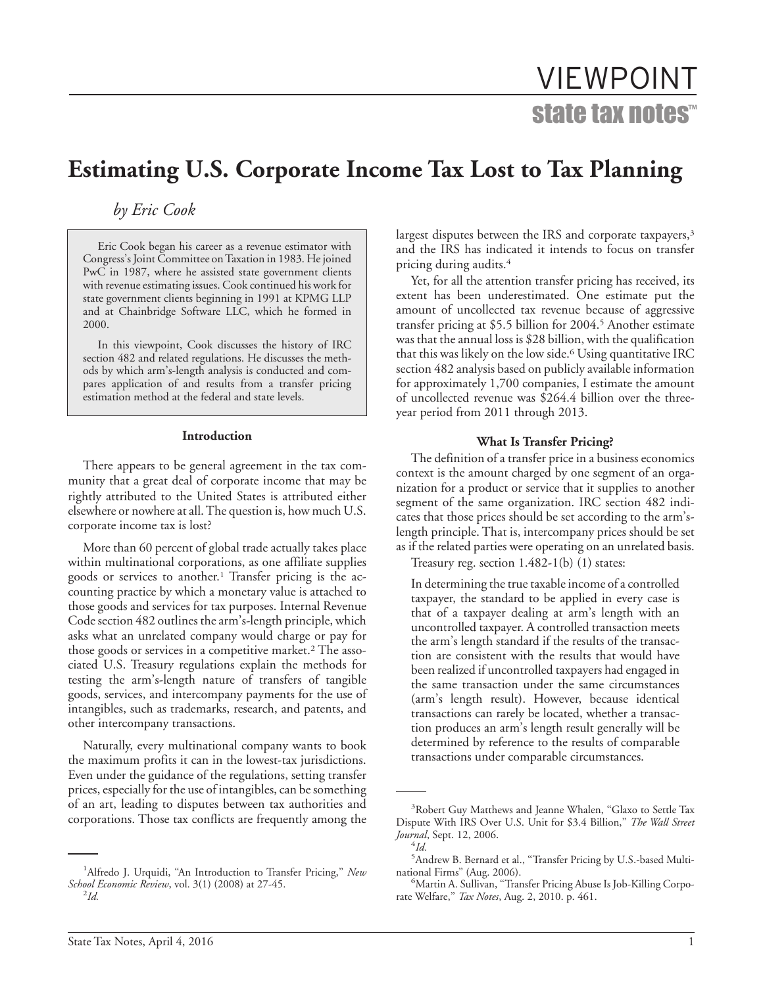# VIEWPOINT state tax notes™

## **Estimating U.S. Corporate Income Tax Lost to Tax Planning**

*by Eric Cook*

Eric Cook began his career as a revenue estimator with Congress's Joint Committee onTaxation in 1983. He joined PwC in 1987, where he assisted state government clients with revenue estimating issues. Cook continued his work for state government clients beginning in 1991 at KPMG LLP and at Chainbridge Software LLC, which he formed in 2000.

In this viewpoint, Cook discusses the history of IRC section 482 and related regulations. He discusses the methods by which arm's-length analysis is conducted and compares application of and results from a transfer pricing estimation method at the federal and state levels.

#### **Introduction**

There appears to be general agreement in the tax community that a great deal of corporate income that may be rightly attributed to the United States is attributed either elsewhere or nowhere at all. The question is, how much U.S. corporate income tax is lost?

More than 60 percent of global trade actually takes place within multinational corporations, as one affiliate supplies goods or services to another.<sup>1</sup> Transfer pricing is the accounting practice by which a monetary value is attached to those goods and services for tax purposes. Internal Revenue Code section 482 outlines the arm's-length principle, which asks what an unrelated company would charge or pay for those goods or services in a competitive market.<sup>2</sup> The associated U.S. Treasury regulations explain the methods for testing the arm's-length nature of transfers of tangible goods, services, and intercompany payments for the use of intangibles, such as trademarks, research, and patents, and other intercompany transactions.

Naturally, every multinational company wants to book the maximum profits it can in the lowest-tax jurisdictions. Even under the guidance of the regulations, setting transfer prices, especially for the use of intangibles, can be something of an art, leading to disputes between tax authorities and corporations. Those tax conflicts are frequently among the

largest disputes between the IRS and corporate taxpayers,<sup>3</sup> and the IRS has indicated it intends to focus on transfer pricing during audits.4

Yet, for all the attention transfer pricing has received, its extent has been underestimated. One estimate put the amount of uncollected tax revenue because of aggressive transfer pricing at \$5.5 billion for 2004.<sup>5</sup> Another estimate was that the annual loss is \$28 billion, with the qualification that this was likely on the low side.6 Using quantitative IRC section 482 analysis based on publicly available information for approximately 1,700 companies, I estimate the amount of uncollected revenue was \$264.4 billion over the threeyear period from 2011 through 2013.

#### **What Is Transfer Pricing?**

The definition of a transfer price in a business economics context is the amount charged by one segment of an organization for a product or service that it supplies to another segment of the same organization. IRC section 482 indicates that those prices should be set according to the arm'slength principle. That is, intercompany prices should be set as if the related parties were operating on an unrelated basis.

Treasury reg. section 1.482-1(b) (1) states:

In determining the true taxable income of a controlled taxpayer, the standard to be applied in every case is that of a taxpayer dealing at arm's length with an uncontrolled taxpayer. A controlled transaction meets the arm's length standard if the results of the transaction are consistent with the results that would have been realized if uncontrolled taxpayers had engaged in the same transaction under the same circumstances (arm's length result). However, because identical transactions can rarely be located, whether a transaction produces an arm's length result generally will be determined by reference to the results of comparable transactions under comparable circumstances.

<sup>&</sup>lt;sup>1</sup>Alfredo J. Urquidi, "An Introduction to Transfer Pricing," New *School Economic Review*, vol. 3(1) (2008) at 27-45. <sup>2</sup>

*Id.*

<sup>&</sup>lt;sup>3</sup>Robert Guy Matthews and Jeanne Whalen, "Glaxo to Settle Tax Dispute With IRS Over U.S. Unit for \$3.4 Billion,'' *The Wall Street Journal*, Sept. 12, 2006. <sup>4</sup>  $^{4}$ *Id.* 

<sup>&</sup>lt;sup>5</sup> Andrew B. Bernard et al., "Transfer Pricing by U.S.-based Multinational Firms" (Aug. 2006).

Martin A. Sullivan, ''Transfer Pricing Abuse Is Job-Killing Corporate Welfare,'' *Tax Notes*, Aug. 2, 2010. p. 461.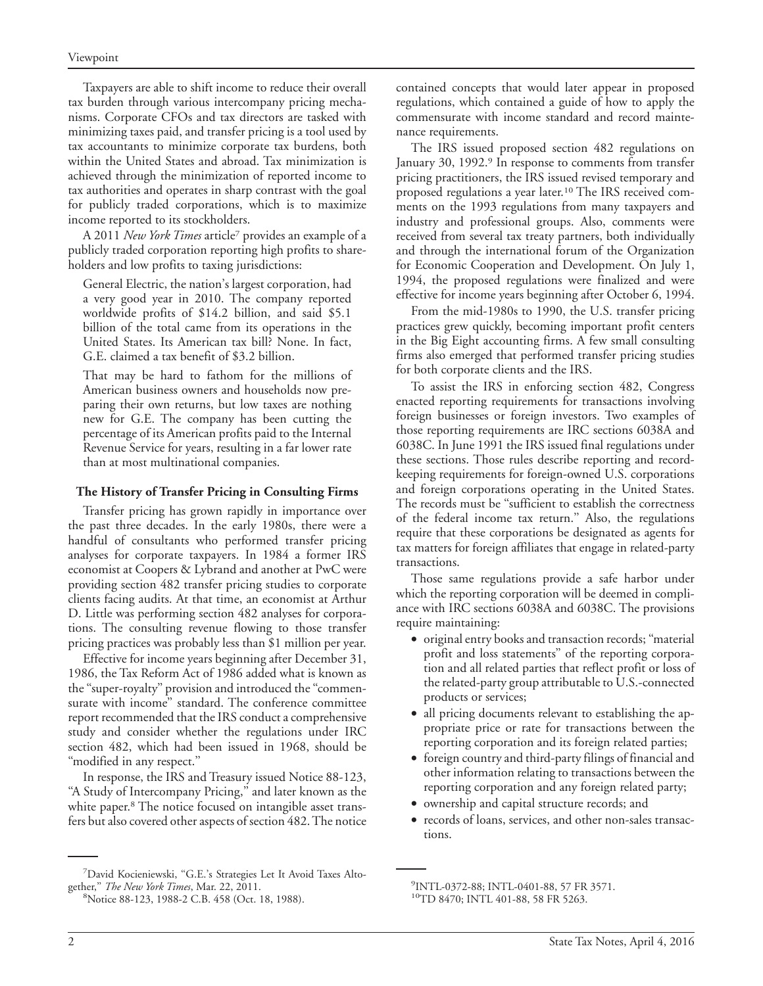Taxpayers are able to shift income to reduce their overall tax burden through various intercompany pricing mechanisms. Corporate CFOs and tax directors are tasked with minimizing taxes paid, and transfer pricing is a tool used by tax accountants to minimize corporate tax burdens, both within the United States and abroad. Tax minimization is achieved through the minimization of reported income to tax authorities and operates in sharp contrast with the goal for publicly traded corporations, which is to maximize income reported to its stockholders.

A 2011 *New York Times* article7 provides an example of a publicly traded corporation reporting high profits to shareholders and low profits to taxing jurisdictions:

General Electric, the nation's largest corporation, had a very good year in 2010. The company reported worldwide profits of \$14.2 billion, and said \$5.1 billion of the total came from its operations in the United States. Its American tax bill? None. In fact, G.E. claimed a tax benefit of \$3.2 billion.

That may be hard to fathom for the millions of American business owners and households now preparing their own returns, but low taxes are nothing new for G.E. The company has been cutting the percentage of its American profits paid to the Internal Revenue Service for years, resulting in a far lower rate than at most multinational companies.

#### **The History of Transfer Pricing in Consulting Firms**

Transfer pricing has grown rapidly in importance over the past three decades. In the early 1980s, there were a handful of consultants who performed transfer pricing analyses for corporate taxpayers. In 1984 a former IRS economist at Coopers & Lybrand and another at PwC were providing section 482 transfer pricing studies to corporate clients facing audits. At that time, an economist at Arthur D. Little was performing section 482 analyses for corporations. The consulting revenue flowing to those transfer pricing practices was probably less than \$1 million per year.

Effective for income years beginning after December 31, 1986, the Tax Reform Act of 1986 added what is known as the ''super-royalty'' provision and introduced the ''commensurate with income'' standard. The conference committee report recommended that the IRS conduct a comprehensive study and consider whether the regulations under IRC section 482, which had been issued in 1968, should be ''modified in any respect.''

In response, the IRS and Treasury issued Notice 88-123, "A Study of Intercompany Pricing," and later known as the white paper.<sup>8</sup> The notice focused on intangible asset transfers but also covered other aspects of section 482. The notice

<sup>7</sup>David Kocieniewski, "G.E.'s Strategies Let It Avoid Taxes Altogether," The New York Times, Mar. 22, 2011.

contained concepts that would later appear in proposed regulations, which contained a guide of how to apply the commensurate with income standard and record maintenance requirements.

The IRS issued proposed section 482 regulations on January 30, 1992.<sup>9</sup> In response to comments from transfer pricing practitioners, the IRS issued revised temporary and proposed regulations a year later.10 The IRS received comments on the 1993 regulations from many taxpayers and industry and professional groups. Also, comments were received from several tax treaty partners, both individually and through the international forum of the Organization for Economic Cooperation and Development. On July 1, 1994, the proposed regulations were finalized and were effective for income years beginning after October 6, 1994.

From the mid-1980s to 1990, the U.S. transfer pricing practices grew quickly, becoming important profit centers in the Big Eight accounting firms. A few small consulting firms also emerged that performed transfer pricing studies for both corporate clients and the IRS.

To assist the IRS in enforcing section 482, Congress enacted reporting requirements for transactions involving foreign businesses or foreign investors. Two examples of those reporting requirements are IRC sections 6038A and 6038C. In June 1991 the IRS issued final regulations under these sections. Those rules describe reporting and recordkeeping requirements for foreign-owned U.S. corporations and foreign corporations operating in the United States. The records must be ''sufficient to establish the correctness of the federal income tax return.'' Also, the regulations require that these corporations be designated as agents for tax matters for foreign affiliates that engage in related-party transactions.

Those same regulations provide a safe harbor under which the reporting corporation will be deemed in compliance with IRC sections 6038A and 6038C. The provisions require maintaining:

- original entry books and transaction records; ''material profit and loss statements'' of the reporting corporation and all related parties that reflect profit or loss of the related-party group attributable to U.S.-connected products or services;
- all pricing documents relevant to establishing the appropriate price or rate for transactions between the reporting corporation and its foreign related parties;
- foreign country and third-party filings of financial and other information relating to transactions between the reporting corporation and any foreign related party;
- ownership and capital structure records; and
- records of loans, services, and other non-sales transactions.

Notice 88-123, 1988-2 C.B. 458 (Oct. 18, 1988).

<sup>9</sup> INTL-0372-88; INTL-0401-88, 57 FR 3571.

<sup>&</sup>lt;sup>10</sup>TD 8470; INTL 401-88, 58 FR 5263.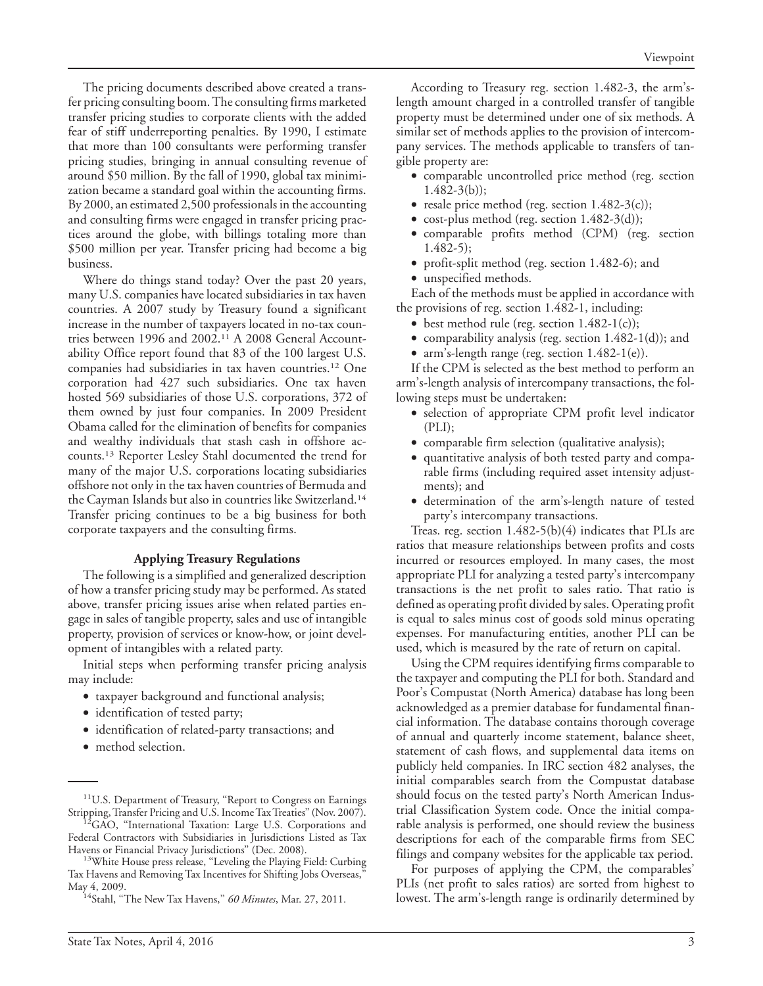The pricing documents described above created a transfer pricing consulting boom.The consulting firms marketed transfer pricing studies to corporate clients with the added fear of stiff underreporting penalties. By 1990, I estimate that more than 100 consultants were performing transfer pricing studies, bringing in annual consulting revenue of around \$50 million. By the fall of 1990, global tax minimization became a standard goal within the accounting firms. By 2000, an estimated 2,500 professionals in the accounting and consulting firms were engaged in transfer pricing practices around the globe, with billings totaling more than \$500 million per year. Transfer pricing had become a big business.

Where do things stand today? Over the past 20 years, many U.S. companies have located subsidiaries in tax haven countries. A 2007 study by Treasury found a significant increase in the number of taxpayers located in no-tax countries between 1996 and 2002.11 A 2008 General Accountability Office report found that 83 of the 100 largest U.S. companies had subsidiaries in tax haven countries.12 One corporation had 427 such subsidiaries. One tax haven hosted 569 subsidiaries of those U.S. corporations, 372 of them owned by just four companies. In 2009 President Obama called for the elimination of benefits for companies and wealthy individuals that stash cash in offshore accounts.13 Reporter Lesley Stahl documented the trend for many of the major U.S. corporations locating subsidiaries offshore not only in the tax haven countries of Bermuda and the Cayman Islands but also in countries like Switzerland.14 Transfer pricing continues to be a big business for both corporate taxpayers and the consulting firms.

#### **Applying Treasury Regulations**

The following is a simplified and generalized description of how a transfer pricing study may be performed. As stated above, transfer pricing issues arise when related parties engage in sales of tangible property, sales and use of intangible property, provision of services or know-how, or joint development of intangibles with a related party.

Initial steps when performing transfer pricing analysis may include:

- taxpayer background and functional analysis;
- identification of tested party;
- identification of related-party transactions; and
- method selection.

According to Treasury reg. section 1.482-3, the arm'slength amount charged in a controlled transfer of tangible property must be determined under one of six methods. A similar set of methods applies to the provision of intercompany services. The methods applicable to transfers of tangible property are:

- comparable uncontrolled price method (reg. section  $1.482 - 3(b)$ ;
- resale price method (reg. section 1.482-3(c));
- cost-plus method (reg. section 1.482-3(d));
- comparable profits method (CPM) (reg. section 1.482-5);
- profit-split method (reg. section 1.482-6); and
- unspecified methods.

Each of the methods must be applied in accordance with the provisions of reg. section 1.482-1, including:

- best method rule (reg. section 1.482-1(c));
- comparability analysis (reg. section 1.482-1(d)); and
- arm's-length range (reg. section 1.482-1(e)).

If the CPM is selected as the best method to perform an arm's-length analysis of intercompany transactions, the following steps must be undertaken:

- selection of appropriate CPM profit level indicator (PLI);
- comparable firm selection (qualitative analysis);
- quantitative analysis of both tested party and comparable firms (including required asset intensity adjustments); and
- determination of the arm's-length nature of tested party's intercompany transactions.

Treas. reg. section 1.482-5(b)(4) indicates that PLIs are ratios that measure relationships between profits and costs incurred or resources employed. In many cases, the most appropriate PLI for analyzing a tested party's intercompany transactions is the net profit to sales ratio. That ratio is defined as operating profit divided by sales. Operating profit is equal to sales minus cost of goods sold minus operating expenses. For manufacturing entities, another PLI can be used, which is measured by the rate of return on capital.

Using the CPM requires identifying firms comparable to the taxpayer and computing the PLI for both. Standard and Poor's Compustat (North America) database has long been acknowledged as a premier database for fundamental financial information. The database contains thorough coverage of annual and quarterly income statement, balance sheet, statement of cash flows, and supplemental data items on publicly held companies. In IRC section 482 analyses, the initial comparables search from the Compustat database should focus on the tested party's North American Industrial Classification System code. Once the initial comparable analysis is performed, one should review the business descriptions for each of the comparable firms from SEC filings and company websites for the applicable tax period.

For purposes of applying the CPM, the comparables' PLIs (net profit to sales ratios) are sorted from highest to lowest. The arm's-length range is ordinarily determined by

<sup>&</sup>lt;sup>11</sup>U.S. Department of Treasury, "Report to Congress on Earnings Stripping, Transfer Pricing and U.S. Income Tax Treaties" (Nov. 2007).<br><sup>12</sup>GAO, "International Taxation: Large U.S. Corporations and

Federal Contractors with Subsidiaries in Jurisdictions Listed as Tax Havens or Financial Privacy Jurisdictions'' (Dec. 2008). 13White House press release, ''Leveling the Playing Field: Curbing

Tax Havens and Removing Tax Incentives for Shifting Jobs Overseas,'' May 4, 2009. 14Stahl, ''The New Tax Havens,'' *60 Minutes*, Mar. 27, 2011.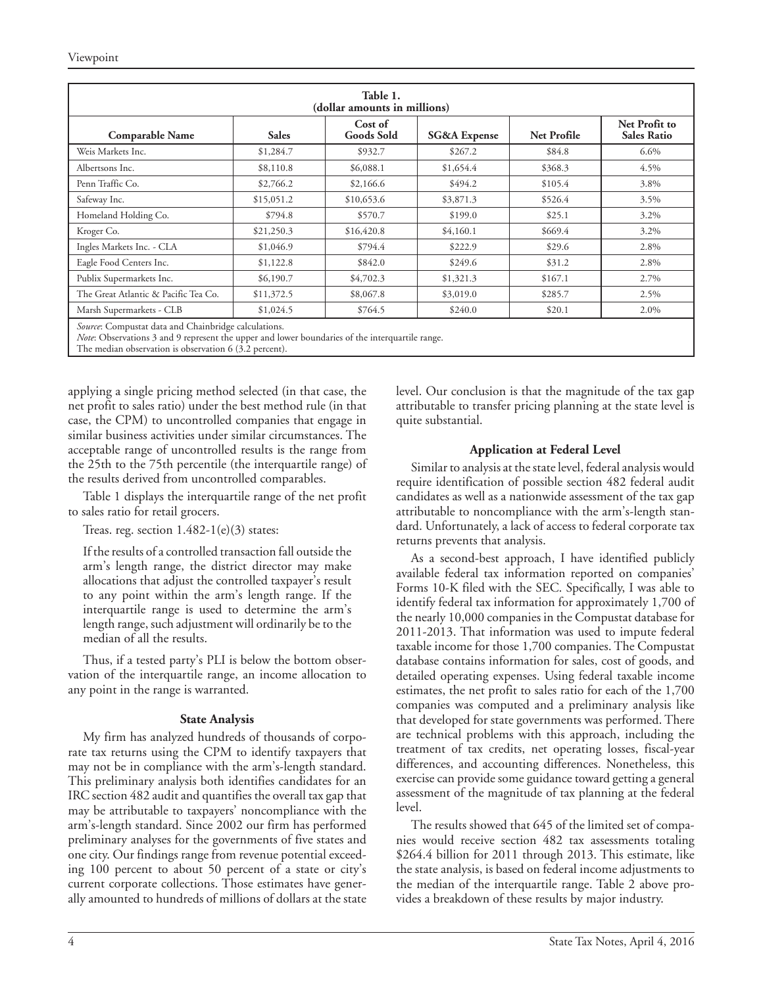| Table 1.<br>(dollar amounts in millions)                                                                                                                       |              |                              |                         |             |                                     |  |  |  |
|----------------------------------------------------------------------------------------------------------------------------------------------------------------|--------------|------------------------------|-------------------------|-------------|-------------------------------------|--|--|--|
| <b>Comparable Name</b>                                                                                                                                         | <b>Sales</b> | Cost of<br><b>Goods Sold</b> | <b>SG&amp;A</b> Expense | Net Profile | Net Profit to<br><b>Sales Ratio</b> |  |  |  |
| Weis Markets Inc.                                                                                                                                              | \$1,284.7    | \$932.7                      | \$267.2                 | \$84.8      | $6.6\%$                             |  |  |  |
| Albertsons Inc.                                                                                                                                                | \$8,110.8    | \$6,088.1                    | \$1,654.4               | \$368.3     | 4.5%                                |  |  |  |
| Penn Traffic Co.                                                                                                                                               | \$2,766.2    | \$2,166.6                    | \$494.2                 | \$105.4     | 3.8%                                |  |  |  |
| Safeway Inc.                                                                                                                                                   | \$15,051.2   | \$10,653.6                   | \$3,871.3               | \$526.4     | 3.5%                                |  |  |  |
| Homeland Holding Co.                                                                                                                                           | \$794.8      | \$570.7                      | \$199.0                 | \$25.1      | 3.2%                                |  |  |  |
| Kroger Co.                                                                                                                                                     | \$21,250.3   | \$16,420.8                   | \$4,160.1               | \$669.4     | 3.2%                                |  |  |  |
| Ingles Markets Inc. - CLA                                                                                                                                      | \$1,046.9    | \$794.4                      | \$222.9                 | \$29.6      | 2.8%                                |  |  |  |
| Eagle Food Centers Inc.                                                                                                                                        | \$1,122.8    | \$842.0                      | \$249.6                 | \$31.2      | 2.8%                                |  |  |  |
| Publix Supermarkets Inc.                                                                                                                                       | \$6,190.7    | \$4,702.3                    | \$1,321.3               | \$167.1     | 2.7%                                |  |  |  |
| The Great Atlantic & Pacific Tea Co.                                                                                                                           | \$11,372.5   | \$8,067.8                    | \$3,019.0               | \$285.7     | 2.5%                                |  |  |  |
| Marsh Supermarkets - CLB                                                                                                                                       | \$1,024.5    | \$764.5                      | \$240.0                 | \$20.1      | 2.0%                                |  |  |  |
| Source: Compustat data and Chainbridge calculations.<br><i>Note</i> : Observations 3 and 9 represent the upper and lower boundaries of the interquartile range |              |                              |                         |             |                                     |  |  |  |

*Note*: Observations 3 and 9 represent the upper and lower boundaries of the interquartile range. The median observation is observation 6 (3.2 percent).

applying a single pricing method selected (in that case, the net profit to sales ratio) under the best method rule (in that case, the CPM) to uncontrolled companies that engage in similar business activities under similar circumstances. The acceptable range of uncontrolled results is the range from the 25th to the 75th percentile (the interquartile range) of the results derived from uncontrolled comparables.

Table 1 displays the interquartile range of the net profit to sales ratio for retail grocers.

Treas. reg. section  $1.482-1(e)(3)$  states:

If the results of a controlled transaction fall outside the arm's length range, the district director may make allocations that adjust the controlled taxpayer's result to any point within the arm's length range. If the interquartile range is used to determine the arm's length range, such adjustment will ordinarily be to the median of all the results.

Thus, if a tested party's PLI is below the bottom observation of the interquartile range, an income allocation to any point in the range is warranted.

#### **State Analysis**

My firm has analyzed hundreds of thousands of corporate tax returns using the CPM to identify taxpayers that may not be in compliance with the arm's-length standard. This preliminary analysis both identifies candidates for an IRC section 482 audit and quantifies the overall tax gap that may be attributable to taxpayers' noncompliance with the arm's-length standard. Since 2002 our firm has performed preliminary analyses for the governments of five states and one city. Our findings range from revenue potential exceeding 100 percent to about 50 percent of a state or city's current corporate collections. Those estimates have generally amounted to hundreds of millions of dollars at the state level. Our conclusion is that the magnitude of the tax gap attributable to transfer pricing planning at the state level is quite substantial.

### **Application at Federal Level**

Similar to analysis at the state level, federal analysis would require identification of possible section 482 federal audit candidates as well as a nationwide assessment of the tax gap attributable to noncompliance with the arm's-length standard. Unfortunately, a lack of access to federal corporate tax returns prevents that analysis.

As a second-best approach, I have identified publicly available federal tax information reported on companies' Forms 10-K filed with the SEC. Specifically, I was able to identify federal tax information for approximately 1,700 of the nearly 10,000 companies in the Compustat database for 2011-2013. That information was used to impute federal taxable income for those 1,700 companies. The Compustat database contains information for sales, cost of goods, and detailed operating expenses. Using federal taxable income estimates, the net profit to sales ratio for each of the 1,700 companies was computed and a preliminary analysis like that developed for state governments was performed. There are technical problems with this approach, including the treatment of tax credits, net operating losses, fiscal-year differences, and accounting differences. Nonetheless, this exercise can provide some guidance toward getting a general assessment of the magnitude of tax planning at the federal level.

The results showed that 645 of the limited set of companies would receive section 482 tax assessments totaling \$264.4 billion for 2011 through 2013. This estimate, like the state analysis, is based on federal income adjustments to the median of the interquartile range. Table 2 above provides a breakdown of these results by major industry.